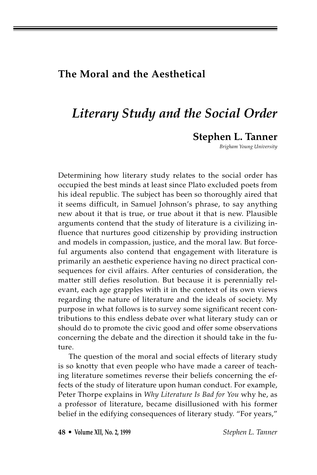## **The Moral and the Aesthetical**

## *Literary Study and the Social Order*

## **Stephen L. Tanner**

*Brigham Young University*

Determining how literary study relates to the social order has occupied the best minds at least since Plato excluded poets from his ideal republic. The subject has been so thoroughly aired that it seems difficult, in Samuel Johnson's phrase, to say anything new about it that is true, or true about it that is new. Plausible arguments contend that the study of literature is a civilizing influence that nurtures good citizenship by providing instruction and models in compassion, justice, and the moral law. But forceful arguments also contend that engagement with literature is primarily an aesthetic experience having no direct practical consequences for civil affairs. After centuries of consideration, the matter still defies resolution. But because it is perennially relevant, each age grapples with it in the context of its own views regarding the nature of literature and the ideals of society. My purpose in what follows is to survey some significant recent contributions to this endless debate over what literary study can or should do to promote the civic good and offer some observations concerning the debate and the direction it should take in the future.

The question of the moral and social effects of literary study is so knotty that even people who have made a career of teaching literature sometimes reverse their beliefs concerning the effects of the study of literature upon human conduct. For example, Peter Thorpe explains in *Why Literature Is Bad for You* why he, as a professor of literature, became disillusioned with his former belief in the edifying consequences of literary study. "For years,"

**48 • Volume XII, No. 2, 1999** *Stephen L. Tanner*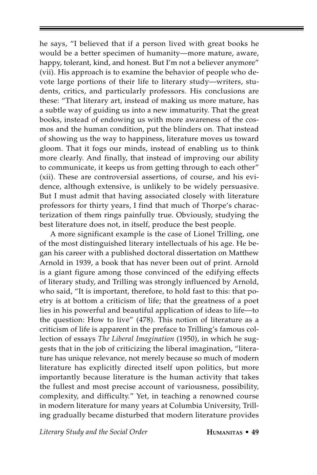he says, "I believed that if a person lived with great books he would be a better specimen of humanity—more mature, aware, happy, tolerant, kind, and honest. But I'm not a believer anymore" (vii). His approach is to examine the behavior of people who devote large portions of their life to literary study—writers, students, critics, and particularly professors. His conclusions are these: "That literary art, instead of making us more mature, has a subtle way of guiding us into a new immaturity. That the great books, instead of endowing us with more awareness of the cosmos and the human condition, put the blinders on. That instead of showing us the way to happiness, literature moves us toward gloom. That it fogs our minds, instead of enabling us to think more clearly. And finally, that instead of improving our ability to communicate, it keeps us from getting through to each other" (xii). These are controversial assertions, of course, and his evidence, although extensive, is unlikely to be widely persuasive. But I must admit that having associated closely with literature professors for thirty years, I find that much of Thorpe's characterization of them rings painfully true. Obviously, studying the best literature does not, in itself, produce the best people.

A more significant example is the case of Lionel Trilling, one of the most distinguished literary intellectuals of his age. He began his career with a published doctoral dissertation on Matthew Arnold in 1939, a book that has never been out of print. Arnold is a giant figure among those convinced of the edifying effects of literary study, and Trilling was strongly influenced by Arnold, who said, "It is important, therefore, to hold fast to this: that poetry is at bottom a criticism of life; that the greatness of a poet lies in his powerful and beautiful application of ideas to life—to the question: How to live" (478). This notion of literature as a criticism of life is apparent in the preface to Trilling's famous collection of essays *The Liberal Imagination* (1950), in which he suggests that in the job of criticizing the liberal imagination, "literature has unique relevance, not merely because so much of modern literature has explicitly directed itself upon politics, but more importantly because literature is the human activity that takes the fullest and most precise account of variousness, possibility, complexity, and difficulty." Yet, in teaching a renowned course in modern literature for many years at Columbia University, Trilling gradually became disturbed that modern literature provides

*Literary Study and the Social Order* **HUMANITAS • 49**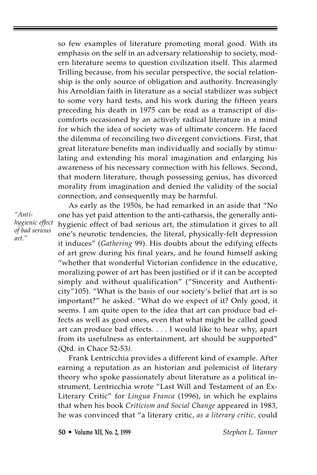so few examples of literature promoting moral good. With its emphasis on the self in an adversary relationship to society, modern literature seems to question civilization itself. This alarmed Trilling because, from his secular perspective, the social relationship is the only source of obligation and authority. Increasingly his Arnoldian faith in literature as a social stabilizer was subject to some very hard tests, and his work during the fifteen years preceding his death in 1975 can be read as a transcript of discomforts occasioned by an actively radical literature in a mind for which the idea of society was of ultimate concern. He faced the dilemma of reconciling two divergent convictions. First, that great literature benefits man individually and socially by stimulating and extending his moral imagination and enlarging his awareness of his necessary connection with his fellows. Second, that modern literature, though possessing genius, has divorced morality from imagination and denied the validity of the social connection, and consequently may be harmful.

*"Antihygienic effect of bad serious art."*

As early as the 1950s, he had remarked in an aside that "No one has yet paid attention to the anti-catharsis, the generally antihygienic effect of bad serious art, the stimulation it gives to all one's neurotic tendencies, the literal, physically-felt depression it induces" (*Gathering* 99). His doubts about the edifying effects of art grew during his final years, and he found himself asking "whether that wonderful Victorian confidence in the educative, moralizing power of art has been justified or if it can be accepted simply and without qualification" ("Sincerity and Authenticity"105). "What is the basis of our society's belief that art is so important?" he asked. "What do we expect of it? Only good, it seems. I am quite open to the idea that art can produce bad effects as well as good ones, even that what might be called good art can produce bad effects. . . . I would like to hear why, apart from its usefulness as entertainment, art should be supported" (Qtd. in Chace 52-53*).*

Frank Lentricchia provides a different kind of example. After earning a reputation as an historian and polemicist of literary theory who spoke passionately about literature as a political instrument, Lentricchia wrote "Last Will and Testament of an Ex-Literary Critic" for *Lingua Franca* (1996), in which he explains that when his book *Criticism and Social Change* appeared in 1983, he was convinced that "a literary critic, *as a literary critic,* could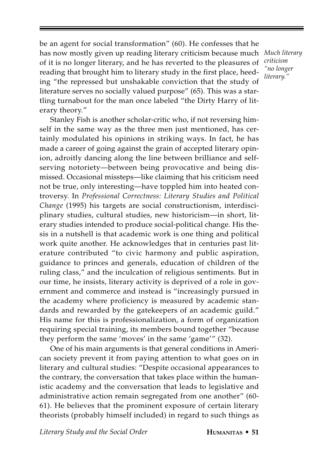be an agent for social transformation" (60). He confesses that he has now mostly given up reading literary criticism because much *Much literary* of it is no longer literary, and he has reverted to the pleasures of reading that brought him to literary study in the first place, heeding "the repressed but unshakable conviction that the study of literature serves no socially valued purpose" (65). This was a startling turnabout for the man once labeled "the Dirty Harry of literary theory."

*criticism "no longer literary."*

Stanley Fish is another scholar-critic who, if not reversing himself in the same way as the three men just mentioned, has certainly modulated his opinions in striking ways. In fact, he has made a career of going against the grain of accepted literary opinion, adroitly dancing along the line between brilliance and selfserving notoriety—between being provocative and being dismissed. Occasional missteps—like claiming that his criticism need not be true, only interesting—have toppled him into heated controversy. In *Professional Correctness: Literary Studies and Political Change* (1995) his targets are social constructionism, interdisciplinary studies, cultural studies, new historicism—in short, literary studies intended to produce social-political change. His thesis in a nutshell is that academic work is one thing and political work quite another. He acknowledges that in centuries past literature contributed "to civic harmony and public aspiration, guidance to princes and generals, education of children of the ruling class," and the inculcation of religious sentiments. But in our time, he insists, literary activity is deprived of a role in government and commerce and instead is "increasingly pursued in the academy where proficiency is measured by academic standards and rewarded by the gatekeepers of an academic guild." His name for this is professionalization, a form of organization requiring special training, its members bound together "because they perform the same 'moves' in the same 'game'" (32).

One of his main arguments is that general conditions in American society prevent it from paying attention to what goes on in literary and cultural studies: "Despite occasional appearances to the contrary, the conversation that takes place within the humanistic academy and the conversation that leads to legislative and administrative action remain segregated from one another" (60- 61). He believes that the prominent exposure of certain literary theorists (probably himself included) in regard to such things as

*Literary Study and the Social Order* **HUMANITAS • 51**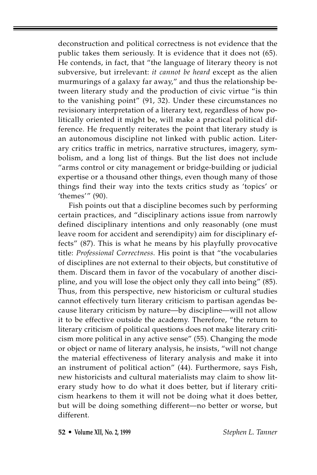deconstruction and political correctness is not evidence that the public takes them seriously. It is evidence that it does not (65). He contends, in fact, that "the language of literary theory is not subversive, but irrelevant: *it cannot be heard* except as the alien murmurings of a galaxy far away," and thus the relationship between literary study and the production of civic virtue "is thin to the vanishing point" (91, 32). Under these circumstances no revisionary interpretation of a literary text, regardless of how politically oriented it might be, will make a practical political difference. He frequently reiterates the point that literary study is an autonomous discipline not linked with public action. Literary critics traffic in metrics, narrative structures, imagery, symbolism, and a long list of things. But the list does not include "arms control or city management or bridge-building or judicial expertise or a thousand other things, even though many of those things find their way into the texts critics study as 'topics' or 'themes'" (90).

Fish points out that a discipline becomes such by performing certain practices, and "disciplinary actions issue from narrowly defined disciplinary intentions and only reasonably (one must leave room for accident and serendipity) aim for disciplinary effects" (87). This is what he means by his playfully provocative title: *Professional Correctness.* His point is that "the vocabularies of disciplines are not external to their objects, but constitutive of them. Discard them in favor of the vocabulary of another discipline, and you will lose the object only they call into being" (85). Thus, from this perspective, new historicism or cultural studies cannot effectively turn literary criticism to partisan agendas because literary criticism by nature—by discipline—will not allow it to be effective outside the academy. Therefore, "the return to literary criticism of political questions does not make literary criticism more political in any active sense" (55)*.* Changing the mode or object or name of literary analysis, he insists, "will not change the material effectiveness of literary analysis and make it into an instrument of political action" (44). Furthermore, says Fish, new historicists and cultural materialists may claim to show literary study how to do what it does better, but if literary criticism hearkens to them it will not be doing what it does better, but will be doing something different—no better or worse, but different.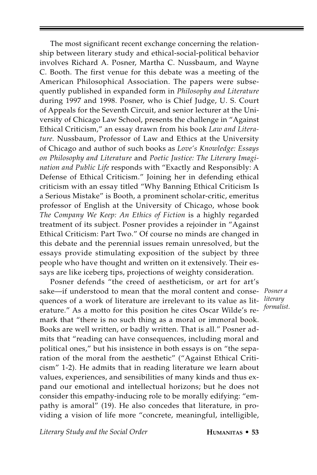The most significant recent exchange concerning the relationship between literary study and ethical-social-political behavior involves Richard A. Posner, Martha C. Nussbaum, and Wayne C. Booth. The first venue for this debate was a meeting of the American Philosophical Association. The papers were subsequently published in expanded form in *Philosophy and Literature* during 1997 and 1998. Posner, who is Chief Judge, U. S. Court of Appeals for the Seventh Circuit, and senior lecturer at the University of Chicago Law School, presents the challenge in "Against Ethical Criticism," an essay drawn from his book *Law and Literature.* Nussbaum, Professor of Law and Ethics at the University of Chicago and author of such books as *Love's Knowledge: Essays on Philosophy and Literature* and *Poetic Justice: The Literary Imagination and Public Life* responds with "Exactly and Responsibly: A Defense of Ethical Criticism." Joining her in defending ethical criticism with an essay titled "Why Banning Ethical Criticism Is a Serious Mistake" is Booth, a prominent scholar-critic, emeritus professor of English at the University of Chicago, whose book *The Company We Keep: An Ethics of Fiction* is a highly regarded treatment of its subject. Posner provides a rejoinder in "Against Ethical Criticism: Part Two." Of course no minds are changed in this debate and the perennial issues remain unresolved, but the essays provide stimulating exposition of the subject by three people who have thought and written on it extensively. Their essays are like iceberg tips, projections of weighty consideration.

Posner defends "the creed of aestheticism, or art for art's sake—if understood to mean that the moral content and conse-*Posner a* quences of a work of literature are irrelevant to its value as literature." As a motto for this position he cites Oscar Wilde's remark that "there is no such thing as a moral or immoral book. Books are well written, or badly written. That is all." Posner admits that "reading can have consequences, including moral and political ones," but his insistence in both essays is on "the separation of the moral from the aesthetic" ("Against Ethical Criticism" 1-2). He admits that in reading literature we learn about values, experiences, and sensibilities of many kinds and thus expand our emotional and intellectual horizons; but he does not consider this empathy-inducing role to be morally edifying: "empathy is amoral" (19). He also concedes that literature, in providing a vision of life more "concrete, meaningful, intelligible,

*Literary Study and the Social Order* **HUMANITAS • 53**

*literary formalist.*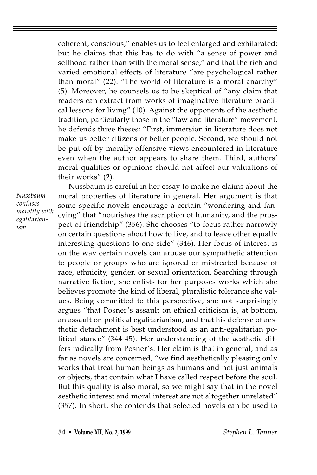coherent, conscious," enables us to feel enlarged and exhilarated; but he claims that this has to do with "a sense of power and selfhood rather than with the moral sense," and that the rich and varied emotional effects of literature "are psychological rather than moral" (22). "The world of literature is a moral anarchy" (5). Moreover, he counsels us to be skeptical of "any claim that readers can extract from works of imaginative literature practical lessons for living" (10). Against the opponents of the aesthetic tradition, particularly those in the "law and literature" movement, he defends three theses: "First, immersion in literature does not make us better citizens or better people. Second, we should not be put off by morally offensive views encountered in literature even when the author appears to share them. Third, authors' moral qualities or opinions should not affect our valuations of their works" (2).

*Nussbaum confuses morality with egalitarianism.*

Nussbaum is careful in her essay to make no claims about the moral properties of literature in general. Her argument is that some specific novels encourage a certain "wondering and fancying" that "nourishes the ascription of humanity, and the prospect of friendship" (356). She chooses "to focus rather narrowly on certain questions about how to live, and to leave other equally interesting questions to one side" (346). Her focus of interest is on the way certain novels can arouse our sympathetic attention to people or groups who are ignored or mistreated because of race, ethnicity, gender, or sexual orientation. Searching through narrative fiction, she enlists for her purposes works which she believes promote the kind of liberal, pluralistic tolerance she values. Being committed to this perspective, she not surprisingly argues "that Posner's assault on ethical criticism is, at bottom, an assault on political egalitarianism, and that his defense of aesthetic detachment is best understood as an anti-egalitarian political stance" (344-45). Her understanding of the aesthetic differs radically from Posner's. Her claim is that in general, and as far as novels are concerned, "we find aesthetically pleasing only works that treat human beings as humans and not just animals or objects, that contain what I have called respect before the soul. But this quality is also moral, so we might say that in the novel aesthetic interest and moral interest are not altogether unrelated" (357). In short, she contends that selected novels can be used to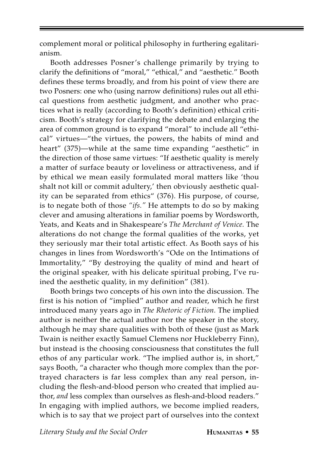complement moral or political philosophy in furthering egalitarianism.

Booth addresses Posner's challenge primarily by trying to clarify the definitions of "moral," "ethical," and "aesthetic." Booth defines these terms broadly, and from his point of view there are two Posners: one who (using narrow definitions) rules out all ethical questions from aesthetic judgment, and another who practices what is really (according to Booth's definition) ethical criticism. Booth's strategy for clarifying the debate and enlarging the area of common ground is to expand "moral" to include all "ethical" virtues—"the virtues, the powers, the habits of mind and heart" (375)—while at the same time expanding "aesthetic" in the direction of those same virtues: "If aesthetic quality is merely a matter of surface beauty or loveliness or attractiveness, and if by ethical we mean easily formulated moral matters like 'thou shalt not kill or commit adultery,' then obviously aesthetic quality can be separated from ethics" (376). His purpose, of course, is to negate both of those *"ifs."* He attempts to do so by making clever and amusing alterations in familiar poems by Wordsworth, Yeats, and Keats and in Shakespeare's *The Merchant of Venice.* The alterations do not change the formal qualities of the works, yet they seriously mar their total artistic effect. As Booth says of his changes in lines from Wordsworth's "Ode on the Intimations of Immortality," "By destroying the quality of mind and heart of the original speaker, with his delicate spiritual probing, I've ruined the aesthetic quality, in my definition" (381).

Booth brings two concepts of his own into the discussion. The first is his notion of "implied" author and reader, which he first introduced many years ago in *The Rhetoric of Fiction.* The implied author is neither the actual author nor the speaker in the story, although he may share qualities with both of these (just as Mark Twain is neither exactly Samuel Clemens nor Huckleberry Finn), but instead is the choosing consciousness that constitutes the full ethos of any particular work. "The implied author is, in short," says Booth, "a character who though more complex than the portrayed characters is far less complex than any real person, including the flesh-and-blood person who created that implied author, *and* less complex than ourselves as flesh-and-blood readers." In engaging with implied authors, we become implied readers, which is to say that we project part of ourselves into the context

*Literary Study and the Social Order* **HUMANITAS • 55**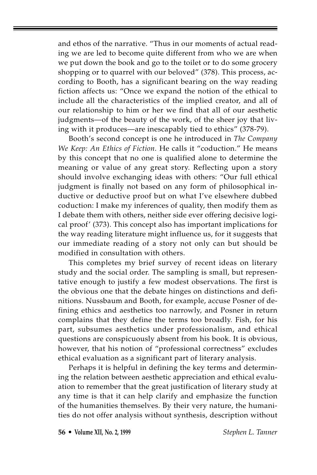and ethos of the narrative. "Thus in our moments of actual reading we are led to become quite different from who we are when we put down the book and go to the toilet or to do some grocery shopping or to quarrel with our beloved" (378). This process, according to Booth, has a significant bearing on the way reading fiction affects us: "Once we expand the notion of the ethical to include all the characteristics of the implied creator, and all of our relationship to him or her we find that all of our aesthetic judgments—of the beauty of the work, of the sheer joy that living with it produces—are inescapably tied to ethics" (378-79).

Booth's second concept is one he introduced in *The Company We Keep: An Ethics of Fiction.* He calls it "coduction." He means by this concept that no one is qualified alone to determine the meaning or value of any great story. Reflecting upon a story should involve exchanging ideas with others: "Our full ethical judgment is finally not based on any form of philosophical inductive or deductive proof but on what I've elsewhere dubbed coduction: I make my inferences of quality, then modify them as I debate them with others, neither side ever offering decisive logical proof' (373). This concept also has important implications for the way reading literature might influence us, for it suggests that our immediate reading of a story not only can but should be modified in consultation with others.

This completes my brief survey of recent ideas on literary study and the social order. The sampling is small, but representative enough to justify a few modest observations. The first is the obvious one that the debate hinges on distinctions and definitions. Nussbaum and Booth, for example, accuse Posner of defining ethics and aesthetics too narrowly, and Posner in return complains that they define the terms too broadly. Fish, for his part, subsumes aesthetics under professionalism, and ethical questions are conspicuously absent from his book. It is obvious, however, that his notion of "professional correctness" excludes ethical evaluation as a significant part of literary analysis.

Perhaps it is helpful in defining the key terms and determining the relation between aesthetic appreciation and ethical evaluation to remember that the great justification of literary study at any time is that it can help clarify and emphasize the function of the humanities themselves. By their very nature, the humanities do not offer analysis without synthesis, description without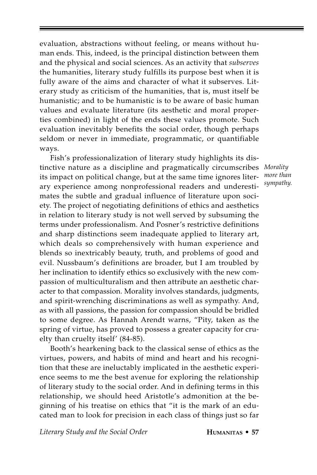evaluation, abstractions without feeling, or means without human ends. This, indeed, is the principal distinction between them and the physical and social sciences. As an activity that *subserves* the humanities, literary study fulfills its purpose best when it is fully aware of the aims and character of what it subserves. Literary study as criticism of the humanities, that is, must itself be humanistic; and to be humanistic is to be aware of basic human values and evaluate literature (its aesthetic and moral properties combined) in light of the ends these values promote. Such evaluation inevitably benefits the social order, though perhaps seldom or never in immediate, programmatic, or quantifiable ways.

Fish's professionalization of literary study highlights its distinctive nature as a discipline and pragmatically circumscribes *Morality* its impact on political change, but at the same time ignores literary experience among nonprofessional readers and underestimates the subtle and gradual influence of literature upon society. The project of negotiating definitions of ethics and aesthetics in relation to literary study is not well served by subsuming the terms under professionalism. And Posner's restrictive definitions and sharp distinctions seem inadequate applied to literary art, which deals so comprehensively with human experience and blends so inextricably beauty, truth, and problems of good and evil. Nussbaum's definitions are broader, but I am troubled by her inclination to identify ethics so exclusively with the new compassion of multiculturalism and then attribute an aesthetic character to that compassion. Morality involves standards, judgments, and spirit-wrenching discriminations as well as sympathy. And, as with all passions, the passion for compassion should be bridled to some degree. As Hannah Arendt warns, "Pity, taken as the spring of virtue, has proved to possess a greater capacity for cruelty than cruelty itself' (84-85).

Booth's hearkening back to the classical sense of ethics as the virtues, powers, and habits of mind and heart and his recognition that these are ineluctably implicated in the aesthetic experience seems to me the best avenue for exploring the relationship of literary study to the social order. And in defining terms in this relationship, we should heed Aristotle's admonition at the beginning of his treatise on ethics that "it is the mark of an educated man to look for precision in each class of things just so far

*Literary Study and the Social Order* **HUMANITAS • 57**

*more than sympathy.*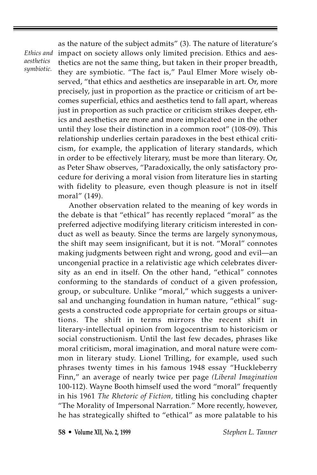*Ethics and aesthetics symbiotic.*

as the nature of the subject admits" (3). The nature of literature's impact on society allows only limited precision. Ethics and aesthetics are not the same thing, but taken in their proper breadth, they are symbiotic. "The fact is," Paul Elmer More wisely observed, "that ethics and aesthetics are inseparable in art. Or, more precisely, just in proportion as the practice or criticism of art becomes superficial, ethics and aesthetics tend to fall apart, whereas just in proportion as such practice or criticism strikes deeper, ethics and aesthetics are more and more implicated one in the other until they lose their distinction in a common root" (108-09). This relationship underlies certain paradoxes in the best ethical criticism, for example, the application of literary standards, which in order to be effectively literary, must be more than literary. Or, as Peter Shaw observes, "Paradoxically, the only satisfactory procedure for deriving a moral vision from literature lies in starting with fidelity to pleasure, even though pleasure is not in itself moral" (149).

Another observation related to the meaning of key words in the debate is that "ethical" has recently replaced "moral" as the preferred adjective modifying literary criticism interested in conduct as well as beauty. Since the terms are largely synonymous, the shift may seem insignificant, but it is not. "Moral" connotes making judgments between right and wrong, good and evil—an uncongenial practice in a relativistic age which celebrates diversity as an end in itself. On the other hand, "ethical" connotes conforming to the standards of conduct of a given profession, group, or subculture. Unlike "moral," which suggests a universal and unchanging foundation in human nature, "ethical" suggests a constructed code appropriate for certain groups or situations. The shift in terms mirrors the recent shift in literary-intellectual opinion from logocentrism to historicism or social constructionism. Until the last few decades, phrases like moral criticism, moral imagination, and moral nature were common in literary study. Lionel Trilling, for example, used such phrases twenty times in his famous 1948 essay "Huckleberry Finn," an average of nearly twice per page *(Liberal Imagination* 100-112). Wayne Booth himself used the word "moral" frequently in his 1961 *The Rhetoric of Fiction,* titling his concluding chapter "The Morality of Impersonal Narration." More recently, however, he has strategically shifted to "ethical" as more palatable to his

**58 • Volume XII, No. 2, 1999** *Stephen L. Tanner*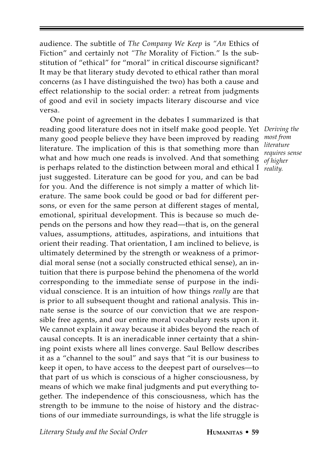audience. The subtitle of *The Company We Keep* is *"An* Ethics of Fiction" and certainly not *"The* Morality of Fiction." Is the substitution of "ethical" for "moral" in critical discourse significant? It may be that literary study devoted to ethical rather than moral concerns (as I have distinguished the two) has both a cause and effect relationship to the social order: a retreat from judgments of good and evil in society impacts literary discourse and vice versa.

One point of agreement in the debates I summarized is that reading good literature does not in itself make good people. Yet *Deriving the* many good people believe they have been improved by reading literature. The implication of this is that something more than what and how much one reads is involved. And that something is perhaps related to the distinction between moral and ethical I just suggested. Literature can be good for you, and can be bad for you. And the difference is not simply a matter of which literature. The same book could be good or bad for different persons, or even for the same person at different stages of mental, emotional, spiritual development. This is because so much depends on the persons and how they read—that is, on the general values, assumptions, attitudes, aspirations, and intuitions that orient their reading. That orientation, I am inclined to believe, is ultimately determined by the strength or weakness of a primordial moral sense (not a socially constructed ethical sense), an intuition that there is purpose behind the phenomena of the world corresponding to the immediate sense of purpose in the individual conscience. It is an intuition of how things *really* are that is prior to all subsequent thought and rational analysis. This innate sense is the source of our conviction that we are responsible free agents, and our entire moral vocabulary rests upon it. We cannot explain it away because it abides beyond the reach of causal concepts. It is an ineradicable inner certainty that a shining point exists where all lines converge. Saul Bellow describes it as a "channel to the soul" and says that "it is our business to keep it open, to have access to the deepest part of ourselves—to that part of us which is conscious of a higher consciousness, by means of which we make final judgments and put everything together. The independence of this consciousness, which has the strength to be immune to the noise of history and the distractions of our immediate surroundings, is what the life struggle is

*Literary Study and the Social Order* **HUMANITAS • 59**

*most from literature requires sense of higher reality.*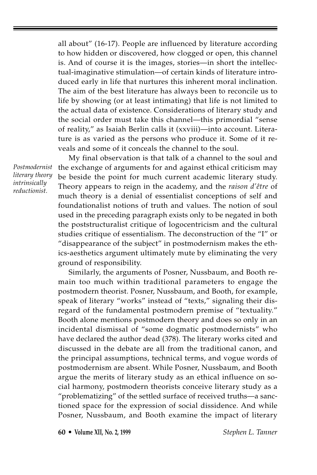all about" (16-17). People are influenced by literature according to how hidden or discovered, how clogged or open, this channel is. And of course it is the images, stories—in short the intellectual-imaginative stimulation—of certain kinds of literature introduced early in life that nurtures this inherent moral inclination. The aim of the best literature has always been to reconcile us to life by showing (or at least intimating) that life is not limited to the actual data of existence. Considerations of literary study and the social order must take this channel—this primordial "sense of reality," as Isaiah Berlin calls it (xxviii)—into account. Literature is as varied as the persons who produce it. Some of it reveals and some of it conceals the channel to the soul.

*Postmodernist literary theory intrinsically reductionist.*

My final observation is that talk of a channel to the soul and the exchange of arguments for and against ethical criticism may be beside the point for much current academic literary study. Theory appears to reign in the academy, and the *raison d'être* of much theory is a denial of essentialist conceptions of self and foundationalist notions of truth and values. The notion of soul used in the preceding paragraph exists only to be negated in both the poststructuralist critique of logocentricism and the cultural studies critique of essentialism. The deconstruction of the "I" or "disappearance of the subject" in postmodernism makes the ethics-aesthetics argument ultimately mute by eliminating the very ground of responsibility.

Similarly, the arguments of Posner, Nussbaum, and Booth remain too much within traditional parameters to engage the postmodern theorist. Posner, Nussbaum, and Booth, for example, speak of literary "works" instead of "texts," signaling their disregard of the fundamental postmodern premise of "textuality." Booth alone mentions postmodern theory and does so only in an incidental dismissal of "some dogmatic postmodernists" who have declared the author dead (378). The literary works cited and discussed in the debate are all from the traditional canon, and the principal assumptions, technical terms, and vogue words of postmodernism are absent. While Posner, Nussbaum, and Booth argue the merits of literary study as an ethical influence on social harmony, postmodern theorists conceive literary study as a "problematizing" of the settled surface of received truths—a sanctioned space for the expression of social dissidence. And while Posner, Nussbaum, and Booth examine the impact of literary

**60 • Volume XII, No. 2, 1999** *Stephen L. Tanner*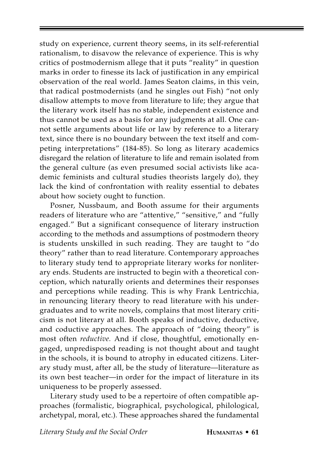study on experience, current theory seems, in its self-referential rationalism, to disavow the relevance of experience. This is why critics of postmodernism allege that it puts "reality" in question marks in order to finesse its lack of justification in any empirical observation of the real world. James Seaton claims, in this vein, that radical postmodernists (and he singles out Fish) "not only disallow attempts to move from literature to life; they argue that the literary work itself has no stable, independent existence and thus cannot be used as a basis for any judgments at all. One cannot settle arguments about life or law by reference to a literary text, since there is no boundary between the text itself and competing interpretations" (184-85). So long as literary academics disregard the relation of literature to life and remain isolated from the general culture (as even presumed social activists like academic feminists and cultural studies theorists largely do), they lack the kind of confrontation with reality essential to debates about how society ought to function.

Posner, Nussbaum, and Booth assume for their arguments readers of literature who are "attentive," "sensitive," and "fully engaged." But a significant consequence of literary instruction according to the methods and assumptions of postmodern theory is students unskilled in such reading. They are taught to "do theory" rather than to read literature. Contemporary approaches to literary study tend to appropriate literary works for nonliterary ends. Students are instructed to begin with a theoretical conception, which naturally orients and determines their responses and perceptions while reading. This is why Frank Lentricchia, in renouncing literary theory to read literature with his undergraduates and to write novels, complains that most literary criticism is not literary at all. Booth speaks of inductive, deductive, and coductive approaches. The approach of "doing theory" is most often *reductive.* And if close, thoughtful, emotionally engaged, unpredisposed reading is not thought about and taught in the schools, it is bound to atrophy in educated citizens. Literary study must, after all, be the study of literature—literature as its own best teacher—in order for the impact of literature in its uniqueness to be properly assessed.

Literary study used to be a repertoire of often compatible approaches (formalistic, biographical, psychological, philological, archetypal, moral, etc.). These approaches shared the fundamental

*Literary Study and the Social Order* **<b>HUMANITAS • 61**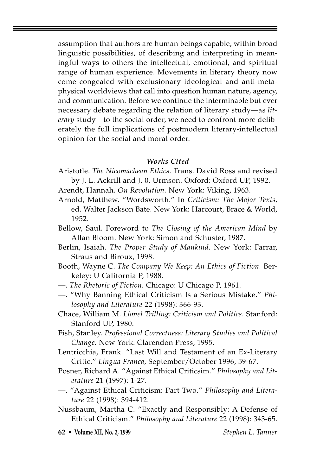assumption that authors are human beings capable, within broad linguistic possibilities, of describing and interpreting in meaningful ways to others the intellectual, emotional, and spiritual range of human experience. Movements in literary theory now come congealed with exclusionary ideological and anti-metaphysical worldviews that call into question human nature, agency, and communication. Before we continue the interminable but ever necessary debate regarding the relation of literary study—as *literary* study—to the social order, we need to confront more deliberately the full implications of postmodern literary-intellectual opinion for the social and moral order.

## *Works Cited*

- Aristotle. *The Nicomachean Ethics.* Trans. David Ross and revised by J. L. Ackrill and J. 0. Urmson. Oxford: Oxford UP, 1992.
- Arendt, Hannah. *On Revolution.* New York: Viking, 1963.
- Arnold, Matthew. "Wordsworth." In *Criticism: The Major Texts,* ed. Walter Jackson Bate. New York: Harcourt, Brace & World, 1952.
- Bellow, Saul. Foreword to *The Closing of the American Mind* by Allan Bloom. New York: Simon and Schuster, 1987.
- Berlin, Isaiah. *The Proper Study of Mankind.* New York: Farrar, Straus and Biroux, 1998.
- Booth, Wayne C. *The Company We Keep: An Ethics of Fiction.* Berkeley: U California P, 1988.
- —. *The Rhetoric of Fiction.* Chicago: U Chicago P, 1961.
- —. "Why Banning Ethical Criticism Is a Serious Mistake." *Philosophy and Literature* 22 (1998): 366-93.
- Chace, William M. *Lionel Trilling: Criticism and Politics.* Stanford: Stanford UP, 1980.
- Fish, Stanley. *Professional Correctness: Literary Studies and Political Change.* New York: Clarendon Press, 1995.
- Lentricchia, Frank. "Last Will and Testament of an Ex-Literary Critic." *Lingua Franca,* September/October 1996, 59-67.
- Posner, Richard A. "Against Ethical Criticsim." *Philosophy and Literature* 21 (1997): 1-27.
- —. "Against Ethical Criticism: Part Two." *Philosophy and Literature* 22 (1998): 394-412.
- Nussbaum, Martha C. "Exactly and Responsibly: A Defense of Ethical Criticism." *Philosophy and Literature* 22 (1998): 343-65.
- **62 Volume XII, No. 2, 1999** *Stephen L. Tanner*